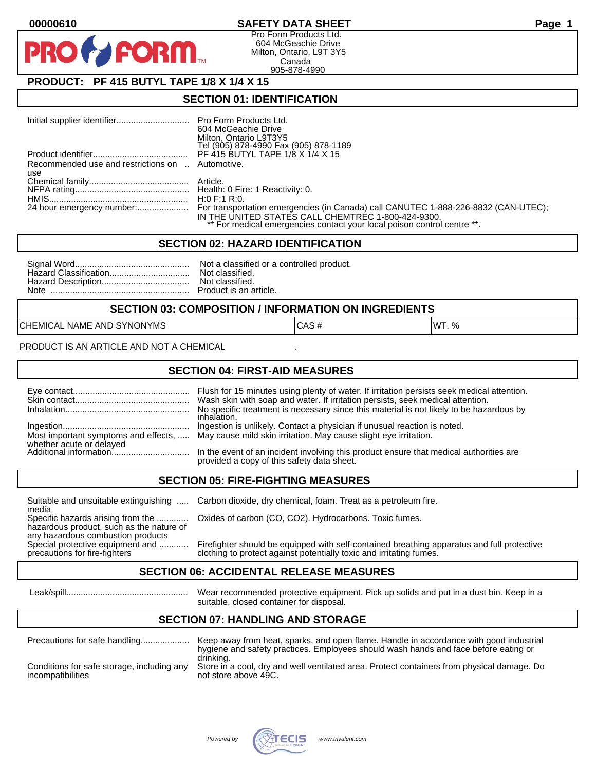### **00000610 SAFETY DATA SHEET Page 1**

Pro Form Products Ltd. 604 McGeachie Drive Milton, Ontario, L9T 3Y5 Canada 905-878-4990

# **PRODUCT: PF 415 BUTYL TAPE 1/8 X 1/4 X 15**

**FORM.** 

### **SECTION 01: IDENTIFICATION**

|                                                  | 604 McGeachie Drive<br>Milton, Ontario L9T3Y5<br>Tel (905) 878-4990 Fax (905) 878-1189 |
|--------------------------------------------------|----------------------------------------------------------------------------------------|
|                                                  |                                                                                        |
| Recommended use and restrictions on  Automotive. |                                                                                        |
| use                                              |                                                                                        |
|                                                  |                                                                                        |
|                                                  |                                                                                        |
|                                                  | H:0 F:1 R:0.                                                                           |
|                                                  |                                                                                        |
|                                                  | IN THE UNITED STATES CALL CHEMTREC 1-800-424-9300.                                     |
|                                                  | ** For medical emergencies contact your local poison control centre **.                |

#### **SECTION 02: HAZARD IDENTIFICATION**

#### **SECTION 03: COMPOSITION / INFORMATION ON INGREDIENTS**

CHEMICAL NAME AND SYNONYMS CASE CAS # CAS # WT. %

PRODUCT IS AN ARTICLE AND NOT A CHEMICAL

### **SECTION 04: FIRST-AID MEASURES**

|                                                    | Flush for 15 minutes using plenty of water. If irritation persists seek medical attention.<br>Wash skin with soap and water. If irritation persists, seek medical attention.<br>No specific treatment is necessary since this material is not likely to be hazardous by<br>inhalation. |
|----------------------------------------------------|----------------------------------------------------------------------------------------------------------------------------------------------------------------------------------------------------------------------------------------------------------------------------------------|
|                                                    | Ingestion is unlikely. Contact a physician if unusual reaction is noted.<br>Most important symptoms and effects,  May cause mild skin irritation. May cause slight eye irritation.                                                                                                     |
| whether acute or delayed<br>Additional information | In the event of an incident involving this product ensure that medical authorities are<br>provided a copy of this safety data sheet.                                                                                                                                                   |

#### **SECTION 05: FIRE-FIGHTING MEASURES**

media<br>Specific hazards arising from the .............

hazardous product, such as the nature of any hazardous combustion products<br>Special protective equipment and ............

Suitable and unsuitable extinguishing ..... Carbon dioxide, dry chemical, foam. Treat as a petroleum fire.

Oxides of carbon (CO, CO2). Hydrocarbons. Toxic fumes.

Special protective equipment and ............ Firefighter should be equipped with self-contained breathing apparatus and full protective<br>precautions for fire-fighters on the clothing to protect against potentially toxic an clothing to protect against potentially toxic and irritating fumes.

### **SECTION 06: ACCIDENTAL RELEASE MEASURES**

 Leak/spill.................................................. Wear recommended protective equipment. Pick up solids and put in a dust bin. Keep in a suitable, closed container for disposal.

## **SECTION 07: HANDLING AND STORAGE**

| Precautions for safe handling              | Keep away from heat, sparks, and open flame. Handle in accordance with good industrial<br>hygiene and safety practices. Employees should wash hands and face before eating or<br>drinking. |
|--------------------------------------------|--------------------------------------------------------------------------------------------------------------------------------------------------------------------------------------------|
| Conditions for safe storage, including any | Store in a cool, dry and well ventilated area. Protect containers from physical damage. Do                                                                                                 |
| incompatibilities                          | not store above 49C.                                                                                                                                                                       |

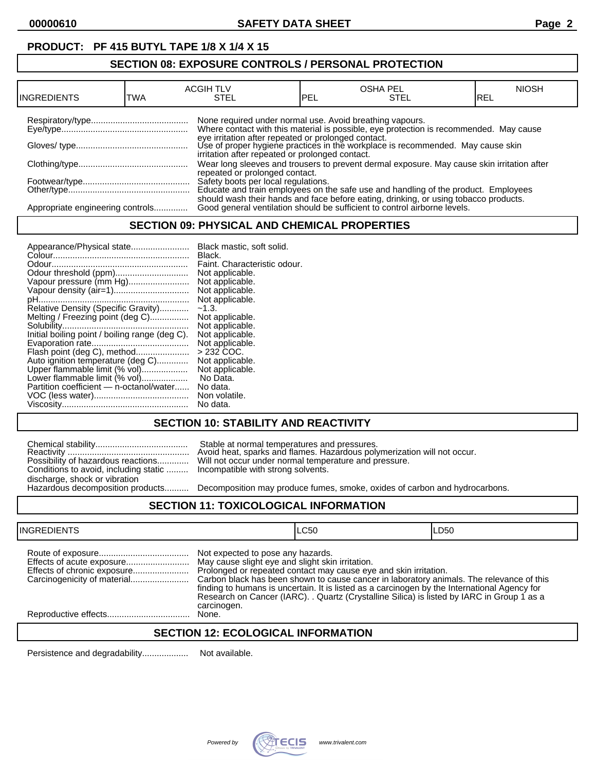# **PRODUCT: PF 415 BUTYL TAPE 1/8 X 1/4 X 15**

# **SECTION 08: EXPOSURE CONTROLS / PERSONAL PROTECTION**

| <b>INGREDIENTS</b>               | TWA | <b>ACGIH TLV</b><br>STEL                                 | <b>PEL</b> | <b>OSHA PEL</b><br><b>STEL</b>                                                                                                                                                                                                   | <b>NIOSH</b><br>IREL |
|----------------------------------|-----|----------------------------------------------------------|------------|----------------------------------------------------------------------------------------------------------------------------------------------------------------------------------------------------------------------------------|----------------------|
|                                  |     | None required under normal use. Avoid breathing vapours. |            | Where contact with this material is possible, eye protection is recommended. May cause<br>eye irritation after repeated or prolonged contact.<br>Use of proper hygiene practices in the workplace is recommended. May cause skin |                      |
|                                  |     | irritation after repeated or prolonged contact.          |            | Wear long sleeves and trousers to prevent dermal exposure. May cause skin irritation after                                                                                                                                       |                      |
|                                  |     | repeated or prolonged contact.                           |            | Safety boots per local regulations.<br>Educate and train employees on the safe use and handling of the product. Employees                                                                                                        |                      |
| Appropriate engineering controls |     |                                                          |            | should wash their hands and face before eating, drinking, or using tobacco products.<br>Good general ventilation should be sufficient to control airborne levels.                                                                |                      |

### **SECTION 09: PHYSICAL AND CHEMICAL PROPERTIES**

| Appearance/Physical state                      | Black mastic, soft solid.    |
|------------------------------------------------|------------------------------|
|                                                | Black.                       |
|                                                | Faint. Characteristic odour. |
|                                                | Not applicable.              |
| Vapour pressure (mm Hg)                        | Not applicable.              |
| Vapour density (air=1)                         | Not applicable.              |
|                                                | Not applicable.              |
| Relative Density (Specific Gravity)            | $-1.3.$                      |
| Melting / Freezing point (deg C)               | Not applicable.              |
|                                                | Not applicable.              |
| Initial boiling point / boiling range (deg C). | Not applicable.              |
|                                                | Not applicable.              |
| Flash point (deg C), method                    | $>232$ COC.                  |
| Auto ignition temperature (deg C)              | Not applicable.              |
| Upper flammable limit (% vol)                  | Not applicable.              |
| Lower flammable limit (% vol)                  | No Data.                     |
| Partition coefficient - n-octanol/water        | No data.                     |
|                                                | Non volatile.                |
|                                                | No data.                     |

# **SECTION 10: STABILITY AND REACTIVITY**

|                                       | Stable at normal temperatures and pressures.<br>Avoid heat, sparks and flames. Hazardous poly                           |
|---------------------------------------|-------------------------------------------------------------------------------------------------------------------------|
| Conditions to avoid, including static | Possibility of hazardous reactions Will not occur under normal temperature and pr<br>Incompatible with strong solvents. |
| discharge, shock or vibration         |                                                                                                                         |
| Hazardous decomposition products      | Decomposition may produce fumes, smoke, oxi                                                                             |

Reactivity .................................................. Avoid heat, sparks and flames. Hazardous polymerization will not occur. Possibility of hazardous reactions............. Will not occur under normal temperature and pressure. Incompatible with strong solvents.

Decomposition may produce fumes, smoke, oxides of carbon and hydrocarbons.

## **SECTION 11: TOXICOLOGICAL INFORMATION**

| <b>INGREDIENTS</b>          |                                                                                                      | LC50                                                                                                                                                                                                                                                                                                                                                       | ILD50 |
|-----------------------------|------------------------------------------------------------------------------------------------------|------------------------------------------------------------------------------------------------------------------------------------------------------------------------------------------------------------------------------------------------------------------------------------------------------------------------------------------------------------|-------|
| Effects of chronic exposure | Not expected to pose any hazards.<br>May cause slight eye and slight skin irritation.<br>carcinogen. | Prolonged or repeated contact may cause eye and skin irritation.<br>Carbon black has been shown to cause cancer in laboratory animals. The relevance of this<br>finding to humans is uncertain. It is listed as a carcinogen by the International Agency for<br>Research on Cancer (IARC). . Quartz (Crystalline Silica) is listed by IARC in Group 1 as a |       |
|                             | None.                                                                                                |                                                                                                                                                                                                                                                                                                                                                            |       |
|                             |                                                                                                      |                                                                                                                                                                                                                                                                                                                                                            |       |

### **SECTION 12: ECOLOGICAL INFORMATION**

Persistence and degradability................... Not available.